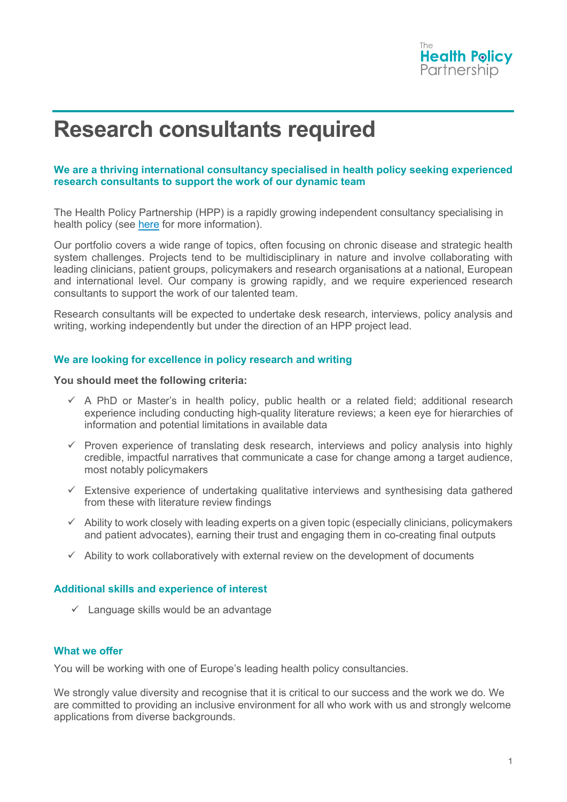

# **Research consultants required**

# **We are a thriving international consultancy specialised in health policy seeking experienced research consultants to support the work of our dynamic team**

The Health Policy Partnership (HPP) is a rapidly growing independent consultancy specialising in health policy (see [here](https://www.healthpolicypartnership.com/) for more information).

Our portfolio covers a wide range of topics, often focusing on chronic disease and strategic health system challenges. Projects tend to be multidisciplinary in nature and involve collaborating with leading clinicians, patient groups, policymakers and research organisations at a national, European and international level. Our company is growing rapidly, and we require experienced research consultants to support the work of our talented team.

Research consultants will be expected to undertake desk research, interviews, policy analysis and writing, working independently but under the direction of an HPP project lead.

### **We are looking for excellence in policy research and writing**

#### **You should meet the following criteria:**

- $\checkmark$  A PhD or Master's in health policy, public health or a related field; additional research experience including conducting high-quality literature reviews; a keen eye for hierarchies of information and potential limitations in available data
- $\checkmark$  Proven experience of translating desk research, interviews and policy analysis into highly credible, impactful narratives that communicate a case for change among a target audience, most notably policymakers
- $\checkmark$  Extensive experience of undertaking qualitative interviews and synthesising data gathered from these with literature review findings
- $\checkmark$  Ability to work closely with leading experts on a given topic (especially clinicians, policymakers and patient advocates), earning their trust and engaging them in co-creating final outputs
- $\checkmark$  Ability to work collaboratively with external review on the development of documents

### **Additional skills and experience of interest**

 $\checkmark$  Language skills would be an advantage

# **What we offer**

You will be working with one of Europe's leading health policy consultancies.

We strongly value diversity and recognise that it is critical to our success and the work we do. We are committed to providing an inclusive environment for all who work with us and strongly welcome applications from diverse backgrounds.